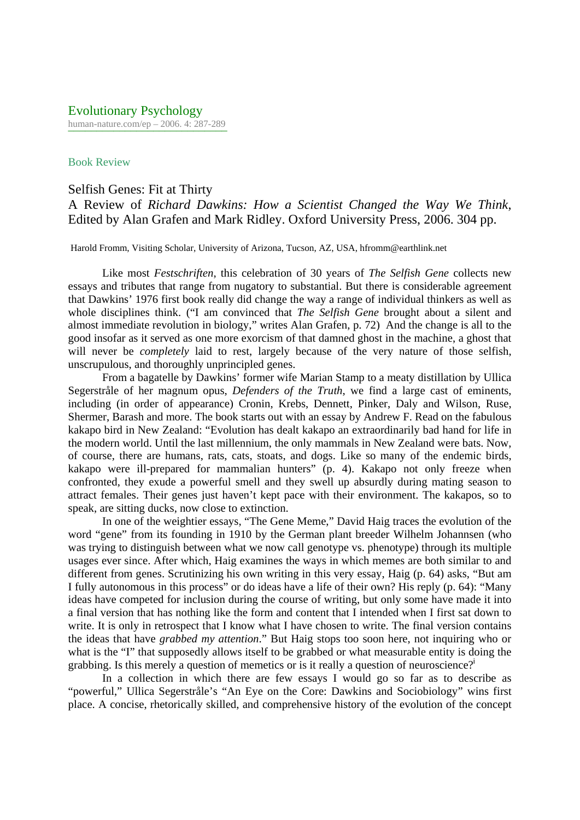## Evolutionary Psychology human-nature.com/ep – 2006. 4: 287-289 ¯¯¯¯¯¯¯¯¯¯¯¯¯¯¯¯¯¯¯¯¯¯¯¯¯¯¯¯

## Book Review

## Selfish Genes: Fit at Thirty A Review of *Richard Dawkins: How a Scientist Changed the Way We Think*, Edited by Alan Grafen and Mark Ridley. Oxford University Press, 2006. 304 pp.

Harold Fromm, Visiting Scholar, University of Arizona, Tucson, AZ, USA, hfromm@earthlink.net

 Like most *Festschriften*, this celebration of 30 years of *The Selfish Gene* collects new essays and tributes that range from nugatory to substantial. But there is considerable agreement that Dawkins' 1976 first book really did change the way a range of individual thinkers as well as whole disciplines think. ("I am convinced that *The Selfish Gene* brought about a silent and almost immediate revolution in biology," writes Alan Grafen, p. 72) And the change is all to the good insofar as it served as one more exorcism of that damned ghost in the machine, a ghost that will never be *completely* laid to rest, largely because of the very nature of those selfish, unscrupulous, and thoroughly unprincipled genes.

 From a bagatelle by Dawkins' former wife Marian Stamp to a meaty distillation by Ullica Segerstråle of her magnum opus, *Defenders of the Truth*, we find a large cast of eminents, including (in order of appearance) Cronin, Krebs, Dennett, Pinker, Daly and Wilson, Ruse, Shermer, Barash and more. The book starts out with an essay by Andrew F. Read on the fabulous kakapo bird in New Zealand: "Evolution has dealt kakapo an extraordinarily bad hand for life in the modern world. Until the last millennium, the only mammals in New Zealand were bats. Now, of course, there are humans, rats, cats, stoats, and dogs. Like so many of the endemic birds, kakapo were ill-prepared for mammalian hunters" (p. 4). Kakapo not only freeze when confronted, they exude a powerful smell and they swell up absurdly during mating season to attract females. Their genes just haven't kept pace with their environment. The kakapos, so to speak, are sitting ducks, now close to extinction.

 In one of the weightier essays, "The Gene Meme," David Haig traces the evolution of the word "gene" from its founding in 1910 by the German plant breeder Wilhelm Johannsen (who was trying to distinguish between what we now call genotype vs. phenotype) through its multiple usages ever since. After which, Haig examines the ways in which memes are both similar to and different from genes. Scrutinizing his own writing in this very essay, Haig (p. 64) asks, "But am I fully autonomous in this process" or do ideas have a life of their own? His reply (p. 64): "Many ideas have competed for inclusion during the course of writing, but only some have made it into a final version that has nothing like the form and content that I intended when I first sat down to write. It is only in retrospect that I know what I have chosen to write. The final version contains the ideas that have *grabbed my attention*." But Haig stops too soon here, not inquiring who or what is the "I" that supposedly allows itself to be grabbed or what measurable entity is doing the grabbing. Is this merely a question of memetics or is it really a question of neuroscience? $\dot{ }$ 

 In a collection in which there are few essays I would go so far as to describe as "powerful," Ullica Segerstråle's "An Eye on the Core: Dawkins and Sociobiology" wins first place. A concise, rhetorically skilled, and comprehensive history of the evolution of the concept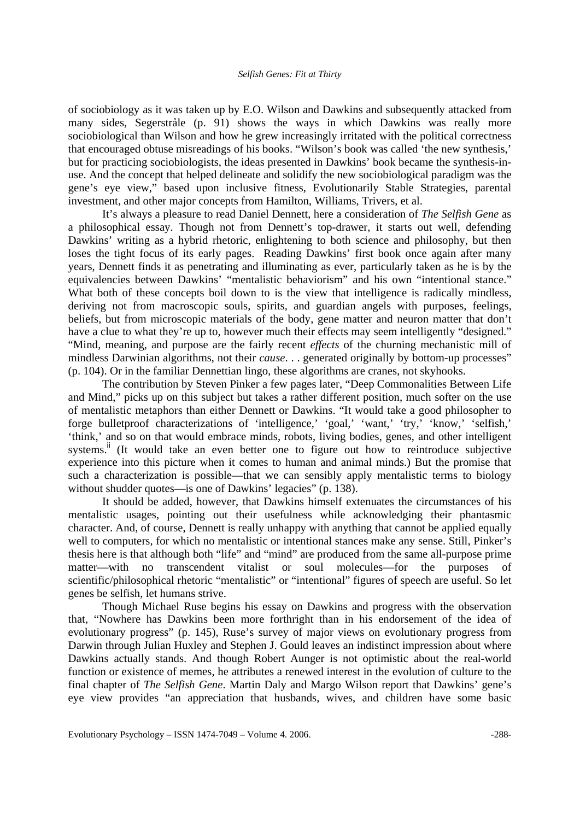of sociobiology as it was taken up by E.O. Wilson and Dawkins and subsequently attacked from many sides, Segerstråle (p. 91) shows the ways in which Dawkins was really more sociobiological than Wilson and how he grew increasingly irritated with the political correctness that encouraged obtuse misreadings of his books. "Wilson's book was called 'the new synthesis,' but for practicing sociobiologists, the ideas presented in Dawkins' book became the synthesis-inuse. And the concept that helped delineate and solidify the new sociobiological paradigm was the gene's eye view," based upon inclusive fitness, Evolutionarily Stable Strategies, parental investment, and other major concepts from Hamilton, Williams, Trivers, et al.

 It's always a pleasure to read Daniel Dennett, here a consideration of *The Selfish Gene* as a philosophical essay. Though not from Dennett's top-drawer, it starts out well, defending Dawkins' writing as a hybrid rhetoric, enlightening to both science and philosophy, but then loses the tight focus of its early pages. Reading Dawkins' first book once again after many years, Dennett finds it as penetrating and illuminating as ever, particularly taken as he is by the equivalencies between Dawkins' "mentalistic behaviorism" and his own "intentional stance." What both of these concepts boil down to is the view that intelligence is radically mindless, deriving not from macroscopic souls, spirits, and guardian angels with purposes, feelings, beliefs, but from microscopic materials of the body, gene matter and neuron matter that don't have a clue to what they're up to, however much their effects may seem intelligently "designed." "Mind, meaning, and purpose are the fairly recent *effects* of the churning mechanistic mill of mindless Darwinian algorithms, not their *cause*. . . generated originally by bottom-up processes" (p. 104). Or in the familiar Dennettian lingo, these algorithms are cranes, not skyhooks.

 The contribution by Steven Pinker a few pages later, "Deep Commonalities Between Life and Mind," picks up on this subject but takes a rather different position, much softer on the use of mentalistic metaphors than either Dennett or Dawkins. "It would take a good philosopher to forge bulletproof characterizations of 'intelligence,' 'goal,' 'want,' 'try,' 'know,' 'selfish,' 'think,' and so on that would embrace minds, robots, living bodies, genes, and other intelligent systems.<sup> $ii$ </sup> (It would take an even better one to figure out how to reintroduce subjective experience into this picture when it comes to human and animal minds.) But the promise that such a characterization is possible—that we can sensibly apply mentalistic terms to biology without shudder quotes—is one of Dawkins' legacies" (p. 138).

 It should be added, however, that Dawkins himself extenuates the circumstances of his mentalistic usages, pointing out their usefulness while acknowledging their phantasmic character. And, of course, Dennett is really unhappy with anything that cannot be applied equally well to computers, for which no mentalistic or intentional stances make any sense. Still, Pinker's thesis here is that although both "life" and "mind" are produced from the same all-purpose prime matter—with no transcendent vitalist or soul molecules—for the purposes of scientific/philosophical rhetoric "mentalistic" or "intentional" figures of speech are useful. So let genes be selfish, let humans strive.

 Though Michael Ruse begins his essay on Dawkins and progress with the observation that, "Nowhere has Dawkins been more forthright than in his endorsement of the idea of evolutionary progress" (p. 145), Ruse's survey of major views on evolutionary progress from Darwin through Julian Huxley and Stephen J. Gould leaves an indistinct impression about where Dawkins actually stands. And though Robert Aunger is not optimistic about the real-world function or existence of memes, he attributes a renewed interest in the evolution of culture to the final chapter of *The Selfish Gene*. Martin Daly and Margo Wilson report that Dawkins' gene's eye view provides "an appreciation that husbands, wives, and children have some basic